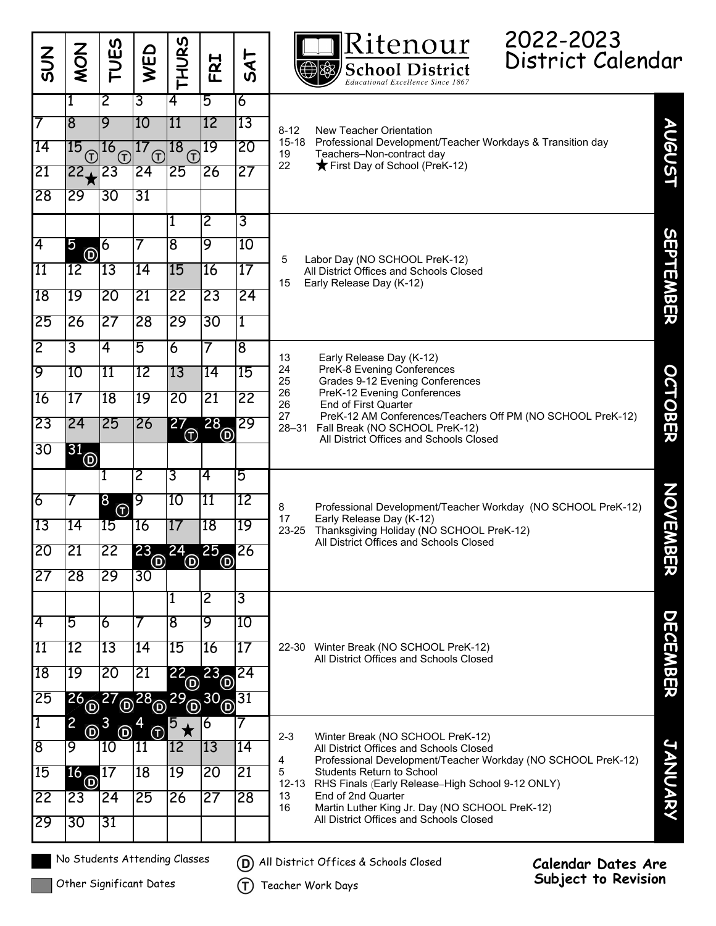| <b>NS</b>                     | <b>ZOW</b>                                                                            | <b>TUES</b>                                                              | WED                                        | ທ<br><b>THUR:</b>                 | FRI                    | $\overline{A}$<br><b>vj</b> |                                                                                      | Ritenour<br><b>School District</b><br>Educational Excellence Since 1867                                                                                                                                                                                                                                                                         | 2022-2023<br>District Calendar                   |                    |  |
|-------------------------------|---------------------------------------------------------------------------------------|--------------------------------------------------------------------------|--------------------------------------------|-----------------------------------|------------------------|-----------------------------|--------------------------------------------------------------------------------------|-------------------------------------------------------------------------------------------------------------------------------------------------------------------------------------------------------------------------------------------------------------------------------------------------------------------------------------------------|--------------------------------------------------|--------------------|--|
|                               |                                                                                       | $\overline{2}$                                                           | 3                                          | $\overline{\mathbf{4}}$           | 5                      | 6                           |                                                                                      |                                                                                                                                                                                                                                                                                                                                                 |                                                  |                    |  |
|                               | 8                                                                                     | 9                                                                        | 10                                         | 11                                | 12                     | 13                          | $8 - 12$                                                                             | New Teacher Orientation<br>Professional Development/Teacher Workdays & Transition day<br>Teachers-Non-contract day<br>First Day of School (PreK-12)                                                                                                                                                                                             |                                                  | <b>AUGUST</b>      |  |
| 14                            | $^{15}$ (f) $^{16}$                                                                   | $\bigoplus$                                                              | 17<br>$\left( \widehat{\mathsf{T}}\right)$ | 18<br>$\left( \widehat{T}\right)$ | 19                     | 20                          | $15 - 18$<br>19                                                                      |                                                                                                                                                                                                                                                                                                                                                 |                                                  |                    |  |
| 21                            | 22 <sub>1</sub>                                                                       | 23                                                                       | 24                                         | 25                                | 26                     | 27                          | 22                                                                                   |                                                                                                                                                                                                                                                                                                                                                 |                                                  |                    |  |
| 28                            | 29                                                                                    | 30                                                                       | 31                                         |                                   |                        |                             |                                                                                      |                                                                                                                                                                                                                                                                                                                                                 |                                                  |                    |  |
|                               |                                                                                       |                                                                          |                                            | 1                                 | $\overline{2}$         | 3                           |                                                                                      |                                                                                                                                                                                                                                                                                                                                                 |                                                  |                    |  |
| 4                             | $5\overline{5}$<br>$\circledcirc$                                                     | $\overline{6}$                                                           |                                            | $\overline{8}$                    | 9                      | 10                          | 5<br>15                                                                              | Labor Day (NO SCHOOL PreK-12)<br>All District Offices and Schools Closed<br>Early Release Day (K-12)                                                                                                                                                                                                                                            |                                                  |                    |  |
| <b>11</b>                     | 12                                                                                    | 13                                                                       | 14                                         | 15                                | 16                     | 17                          |                                                                                      |                                                                                                                                                                                                                                                                                                                                                 |                                                  | SEPTEMBER          |  |
| 18                            | 19                                                                                    | 20                                                                       | 21                                         | 22                                | 23                     | 24                          |                                                                                      |                                                                                                                                                                                                                                                                                                                                                 |                                                  |                    |  |
| 25                            | $\overline{26}$                                                                       | 27                                                                       | 28                                         | 29                                | 30                     | 1                           |                                                                                      |                                                                                                                                                                                                                                                                                                                                                 |                                                  |                    |  |
| $\overline{2}$                | 3                                                                                     | 4                                                                        | 5                                          | $\overline{6}$                    |                        | 8                           |                                                                                      |                                                                                                                                                                                                                                                                                                                                                 |                                                  |                    |  |
| 9                             | 10                                                                                    | 11                                                                       | 12                                         | 13                                | 14                     | 15                          | 13<br>24                                                                             | Early Release Day (K-12)<br>PreK-8 Evening Conferences<br>Grades 9-12 Evening Conferences<br>PreK-12 Evening Conferences<br><b>End of First Quarter</b><br>PreK-12 AM Conferences/Teachers Off PM (NO SCHOOL PreK-12)<br>Fall Break (NO SCHOOL PreK-12)                                                                                         |                                                  |                    |  |
| 16                            | 17                                                                                    | 18                                                                       | 19                                         | 20                                | 21                     | 22                          | 25<br>26<br>26                                                                       |                                                                                                                                                                                                                                                                                                                                                 |                                                  | <b>OCTOBER</b>     |  |
| 23                            | 24                                                                                    | 25                                                                       | 26                                         | <b>200</b>                        | <b>28</b> <sup>o</sup> | 29                          | 27<br>$28 - 31$                                                                      |                                                                                                                                                                                                                                                                                                                                                 |                                                  |                    |  |
| 30                            | 31                                                                                    |                                                                          |                                            |                                   |                        |                             |                                                                                      | All District Offices and Schools Closed                                                                                                                                                                                                                                                                                                         |                                                  |                    |  |
|                               | $^{\copyright}$                                                                       |                                                                          | $\overline{2}$                             | 3                                 | 4                      | 5                           |                                                                                      |                                                                                                                                                                                                                                                                                                                                                 |                                                  |                    |  |
| 6                             |                                                                                       | 8                                                                        | 9                                          | 10                                | 11                     | 12                          |                                                                                      |                                                                                                                                                                                                                                                                                                                                                 |                                                  |                    |  |
| 13                            | 14                                                                                    | $^{\textcircled{\footnotesize{f}}\textcircled{\footnotesize{f}}}$<br> 15 | 16                                         | 17                                | 18                     | 19                          | 8<br>17<br>23-25                                                                     | Professional Development/Teacher Workday (NO SCHOOL PreK-12)<br>Early Release Day (K-12)<br>Thanksgiving Holiday (NO SCHOOL PreK-12)<br>All District Offices and Schools Closed                                                                                                                                                                 |                                                  |                    |  |
| <b>20</b>                     | 21                                                                                    | $ 22\rangle$                                                             | 23                                         | 24                                | 25                     | 26                          |                                                                                      |                                                                                                                                                                                                                                                                                                                                                 |                                                  | <b>NOVEMB</b><br>兕 |  |
| 27                            | $\overline{28}$                                                                       | 29                                                                       | $^\copyright$<br>30                        | <u>ම</u>                          | $\circledcirc$         |                             |                                                                                      |                                                                                                                                                                                                                                                                                                                                                 |                                                  |                    |  |
|                               |                                                                                       |                                                                          |                                            | 1                                 | 2                      | 3                           |                                                                                      |                                                                                                                                                                                                                                                                                                                                                 |                                                  |                    |  |
| 4                             | 5                                                                                     | 6                                                                        |                                            | $\overline{8}$                    | 9                      | 10                          |                                                                                      |                                                                                                                                                                                                                                                                                                                                                 |                                                  |                    |  |
| 11                            | 12                                                                                    | 13                                                                       | 14                                         | 15                                | 16                     | 17                          | Winter Break (NO SCHOOL PreK-12)<br>22-30<br>All District Offices and Schools Closed |                                                                                                                                                                                                                                                                                                                                                 |                                                  |                    |  |
| 18                            | 19                                                                                    | $\overline{20}$                                                          | 21                                         | $22_{\odot}$                      | <b>23</b> <sup>o</sup> | 24                          |                                                                                      |                                                                                                                                                                                                                                                                                                                                                 |                                                  | <b>DECEMBER</b>    |  |
| 25                            |                                                                                       |                                                                          |                                            |                                   |                        | 31                          |                                                                                      |                                                                                                                                                                                                                                                                                                                                                 |                                                  |                    |  |
| 1                             | $26^{27}$ $\overline{0}^{28}$ $\overline{0}^{29}$ $\overline{0}^{30}$<br>$\mathbf{2}$ |                                                                          |                                            | 5                                 | 6                      |                             |                                                                                      |                                                                                                                                                                                                                                                                                                                                                 |                                                  |                    |  |
| 8                             | $0^3$<br>9                                                                            | Θ<br>10                                                                  | G)<br> 11                                  | ★<br>$ 12\rangle$                 | 13                     | 14                          | $2 - 3$                                                                              | Winter Break (NO SCHOOL PreK-12)<br>All District Offices and Schools Closed<br>Professional Development/Teacher Workday (NO SCHOOL PreK-12)<br>Students Return to School<br>RHS Finals (Early Release-High School 9-12 ONLY)<br>End of 2nd Quarter<br>Martin Luther King Jr. Day (NO SCHOOL PreK-12)<br>All District Offices and Schools Closed |                                                  |                    |  |
| 15                            |                                                                                       |                                                                          | 18                                         | 19                                | $\overline{20}$        | 21                          | 4<br>5<br>12-13<br>13<br>16                                                          |                                                                                                                                                                                                                                                                                                                                                 |                                                  |                    |  |
| 22                            | $^{16}$ @ $^{17}$<br>$\overline{23}$                                                  | 24                                                                       | 25                                         | 26                                | $\overline{27}$        | 28                          |                                                                                      |                                                                                                                                                                                                                                                                                                                                                 |                                                  | <b>JANUARY</b>     |  |
| 29                            | 30                                                                                    | 31                                                                       |                                            |                                   |                        |                             |                                                                                      |                                                                                                                                                                                                                                                                                                                                                 |                                                  |                    |  |
| No Students Attending Classes |                                                                                       |                                                                          |                                            |                                   |                        | (D)<br>(T)                  |                                                                                      | All District Offices & Schools Closed                                                                                                                                                                                                                                                                                                           | <b>Calendar Dates Are</b><br>Subject to Revision |                    |  |
| Other Significant Dates       |                                                                                       |                                                                          |                                            |                                   |                        |                             |                                                                                      | Teacher Work Days                                                                                                                                                                                                                                                                                                                               |                                                  |                    |  |